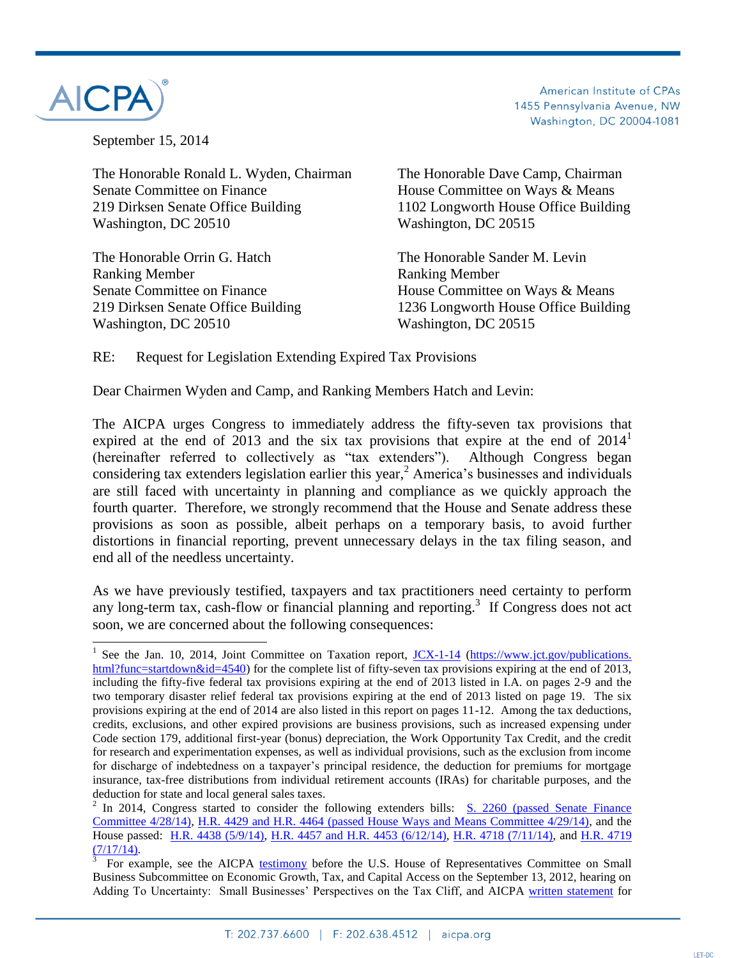

American Institute of CPAs 1455 Pennsylvania Avenue, NW Washington, DC 20004-1081

September 15, 2014

The Honorable Ronald L. Wyden, Chairman The Honorable Dave Camp, Chairman Senate Committee on Finance **House Committee on Ways & Means** 219 Dirksen Senate Office Building 1102 Longworth House Office Building Washington, DC 20510 Washington, DC 20515

The Honorable Orrin G. Hatch The Honorable Sander M. Levin Ranking Member **Ranking Member** Washington, DC 20510 Washington, DC 20515

Senate Committee on Finance House Committee on Ways & Means 219 Dirksen Senate Office Building 1236 Longworth House Office Building

RE: Request for Legislation Extending Expired Tax Provisions

Dear Chairmen Wyden and Camp, and Ranking Members Hatch and Levin:

The AICPA urges Congress to immediately address the fifty-seven tax provisions that expired at the end of 2013 and the six tax provisions that expire at the end of  $2014<sup>1</sup>$ (hereinafter referred to collectively as "tax extenders"). Although Congress began considering tax extenders legislation earlier this year, <sup>2</sup> America's businesses and individuals are still faced with uncertainty in planning and compliance as we quickly approach the fourth quarter. Therefore, we strongly recommend that the House and Senate address these provisions as soon as possible, albeit perhaps on a temporary basis, to avoid further distortions in financial reporting, prevent unnecessary delays in the tax filing season, and end all of the needless uncertainty.

As we have previously testified, taxpayers and tax practitioners need certainty to perform any long-term tax, cash-flow or financial planning and reporting. 3 If Congress does not act soon, we are concerned about the following consequences:

<sup>&</sup>lt;sup>1</sup> See the Jan. 10, 2014, Joint Committee on Taxation report, <u>JCX-1-14</u> (https://www.jct.gov/publications. [html?func=startdown&id=4540\)](https://www.jct.gov/publications.%20html?func=startdown&id=4540) for the complete list of fifty-seven tax provisions expiring at the end of 2013, including the fifty-five federal tax provisions expiring at the end of 2013 listed in I.A. on pages 2-9 and the two temporary disaster relief federal tax provisions expiring at the end of 2013 listed on page 19. The six provisions expiring at the end of 2014 are also listed in this report on pages 11-12. Among the tax deductions, credits, exclusions, and other expired provisions are business provisions, such as increased expensing under Code section 179, additional first-year (bonus) depreciation, the Work Opportunity Tax Credit, and the credit for research and experimentation expenses, as well as individual provisions, such as the exclusion from income for discharge of indebtedness on a taxpayer's principal residence, the deduction for premiums for mortgage insurance, tax-free distributions from individual retirement accounts (IRAs) for charitable purposes, and the deduction for state and local general sales taxes.

<sup>&</sup>lt;sup>2</sup> In 2014, Congress started to consider the following extenders bills: [S. 2260](https://beta.congress.gov/113/bills/s2260/BILLS-113s2260pcs.pdf) (passed Senate Finance Committee 4/28/14), [H.R. 4429](https://beta.congress.gov/113/bills/hr4429/BILLS-113hr4429rh.pdf) and [H.R. 4464](https://beta.congress.gov/113/bills/hr4464/BILLS-113hr4464rh.pdf) (passed House Ways and Means Committee 4/29/14), and the House passed: [H.R. 4438](https://beta.congress.gov/113/bills/hr4438/BILLS-113hr4438eh.pdf) (5/9/14), [H.R. 4457](https://beta.congress.gov/113/bills/hr4457/BILLS-113hr4457pcs.pdf) and [H.R. 4453](https://beta.congress.gov/113/bills/hr4453/BILLS-113hr4453pcs.pdf) (6/12/14), [H.R. 4718](https://beta.congress.gov/113/bills/hr4718/BILLS-113hr4718pcs.pdf) (7/11/14), and [H.R. 4719](https://beta.congress.gov/113/bills/hr4719/BILLS-113hr4719pcs.pdf)  $\frac{(7/17/14)}{3}$ .

For example, see the AICPA [testimony](http://www.aicpa.org/Advocacy/Tax/Individuals/DownloadableDocuments/AICPA%20Jeffrey%20Porter%27s%20Testimony%20for%20Sept%2013%202012%20Hearing.2.pdf) before the U.S. House of Representatives Committee on Small Business Subcommittee on Economic Growth, Tax, and Capital Access on the September 13, 2012, hearing on Adding To Uncertainty: Small Businesses' Perspectives on the Tax Cliff, and AICPA [written statement](http://www.aicpa.org/advocacy/tax/partnerships/downloadabledocuments/aicpa-written-statement-may-15-2013-hwmc-srsubcomte-camp-small-bus-submit.pdf) for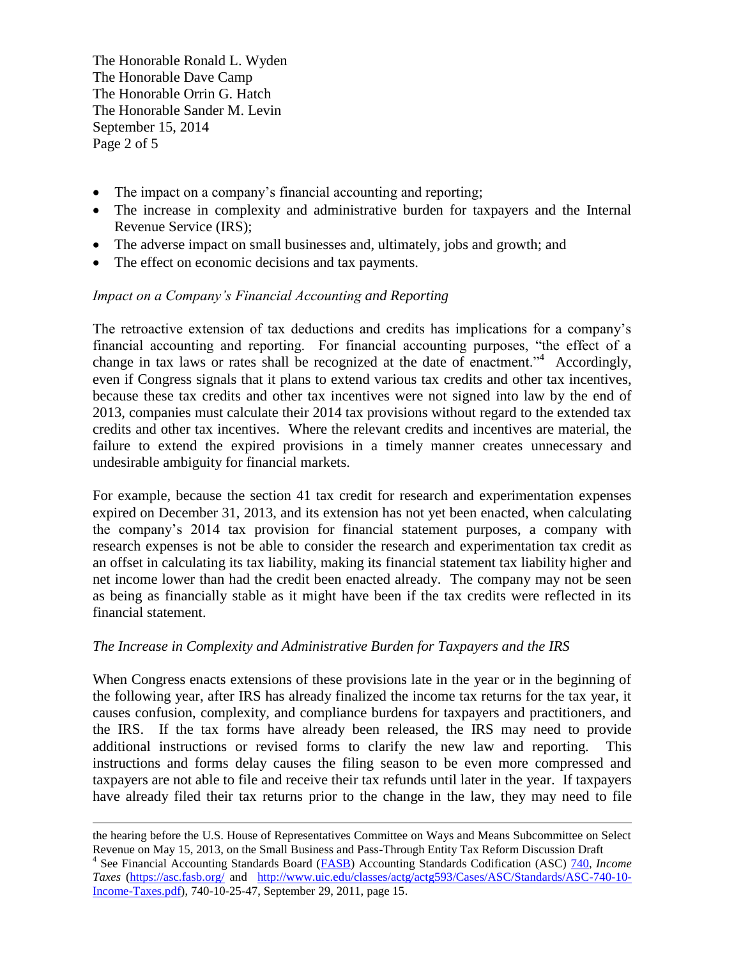The Honorable Ronald L. Wyden The Honorable Dave Camp The Honorable Orrin G. Hatch The Honorable Sander M. Levin September 15, 2014 Page 2 of 5

- The impact on a company's financial accounting and reporting;
- The increase in complexity and administrative burden for taxpayers and the Internal Revenue Service (IRS);
- The adverse impact on small businesses and, ultimately, jobs and growth; and
- The effect on economic decisions and tax payments.

# *Impact on a Company's Financial Accounting and Reporting*

The retroactive extension of tax deductions and credits has implications for a company's financial accounting and reporting. For financial accounting purposes, "the effect of a change in tax laws or rates shall be recognized at the date of enactment."<sup>4</sup> Accordingly, even if Congress signals that it plans to extend various tax credits and other tax incentives, because these tax credits and other tax incentives were not signed into law by the end of 2013, companies must calculate their 2014 tax provisions without regard to the extended tax credits and other tax incentives. Where the relevant credits and incentives are material, the failure to extend the expired provisions in a timely manner creates unnecessary and undesirable ambiguity for financial markets.

For example, because the section 41 tax credit for research and experimentation expenses expired on December 31, 2013, and its extension has not yet been enacted, when calculating the company's 2014 tax provision for financial statement purposes, a company with research expenses is not be able to consider the research and experimentation tax credit as an offset in calculating its tax liability, making its financial statement tax liability higher and net income lower than had the credit been enacted already. The company may not be seen as being as financially stable as it might have been if the tax credits were reflected in its financial statement.

## *The Increase in Complexity and Administrative Burden for Taxpayers and the IRS*

When Congress enacts extensions of these provisions late in the year or in the beginning of the following year, after IRS has already finalized the income tax returns for the tax year, it causes confusion, complexity, and compliance burdens for taxpayers and practitioners, and the IRS. If the tax forms have already been released, the IRS may need to provide additional instructions or revised forms to clarify the new law and reporting. This instructions and forms delay causes the filing season to be even more compressed and taxpayers are not able to file and receive their tax refunds until later in the year. If taxpayers have already filed their tax returns prior to the change in the law, they may need to file

 $\overline{a}$ the hearing before the U.S. House of Representatives Committee on Ways and Means Subcommittee on Select Revenue on May 15, 2013, on the Small Business and Pass-Through Entity Tax Reform Discussion Draft

<sup>&</sup>lt;sup>4</sup> See Financial Accounting Standards Board (*FASB*) Accounting Standards Codification (ASC) [740,](http://www.uic.edu/classes/actg/actg593/Cases/ASC/Standards/ASC-740-10-Income-Taxes.pdf) *Income Taxes* [\(https://asc.fasb.org/](https://asc.fasb.org/) and [http://www.uic.edu/classes/actg/actg593/Cases/ASC/Standards/ASC-740-10-](http://www.uic.edu/classes/actg/actg593/Cases/ASC/Standards/ASC-740-10-Income-Taxes.pdf) [Income-Taxes.pdf\)](http://www.uic.edu/classes/actg/actg593/Cases/ASC/Standards/ASC-740-10-Income-Taxes.pdf), 740-10-25-47, September 29, 2011, page 15.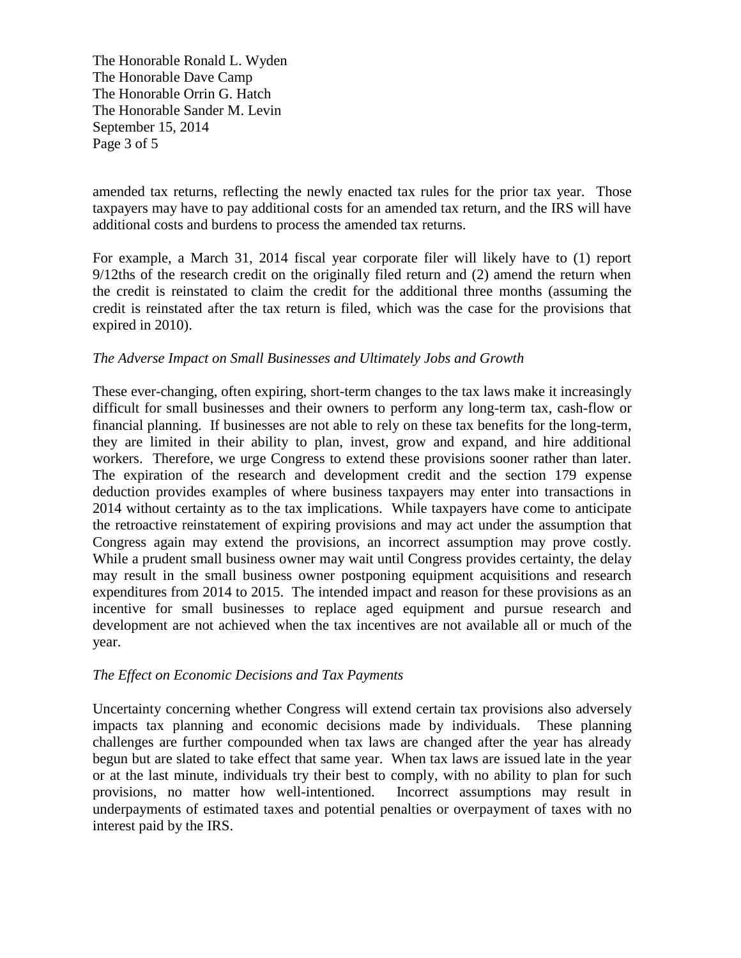The Honorable Ronald L. Wyden The Honorable Dave Camp The Honorable Orrin G. Hatch The Honorable Sander M. Levin September 15, 2014 Page 3 of 5

amended tax returns, reflecting the newly enacted tax rules for the prior tax year. Those taxpayers may have to pay additional costs for an amended tax return, and the IRS will have additional costs and burdens to process the amended tax returns.

For example, a March 31, 2014 fiscal year corporate filer will likely have to (1) report 9/12ths of the research credit on the originally filed return and (2) amend the return when the credit is reinstated to claim the credit for the additional three months (assuming the credit is reinstated after the tax return is filed, which was the case for the provisions that expired in 2010).

## *The Adverse Impact on Small Businesses and Ultimately Jobs and Growth*

These ever-changing, often expiring, short-term changes to the tax laws make it increasingly difficult for small businesses and their owners to perform any long-term tax, cash-flow or financial planning. If businesses are not able to rely on these tax benefits for the long-term, they are limited in their ability to plan, invest, grow and expand, and hire additional workers. Therefore, we urge Congress to extend these provisions sooner rather than later. The expiration of the research and development credit and the section 179 expense deduction provides examples of where business taxpayers may enter into transactions in 2014 without certainty as to the tax implications. While taxpayers have come to anticipate the retroactive reinstatement of expiring provisions and may act under the assumption that Congress again may extend the provisions, an incorrect assumption may prove costly. While a prudent small business owner may wait until Congress provides certainty, the delay may result in the small business owner postponing equipment acquisitions and research expenditures from 2014 to 2015. The intended impact and reason for these provisions as an incentive for small businesses to replace aged equipment and pursue research and development are not achieved when the tax incentives are not available all or much of the year.

### *The Effect on Economic Decisions and Tax Payments*

Uncertainty concerning whether Congress will extend certain tax provisions also adversely impacts tax planning and economic decisions made by individuals. These planning challenges are further compounded when tax laws are changed after the year has already begun but are slated to take effect that same year. When tax laws are issued late in the year or at the last minute, individuals try their best to comply, with no ability to plan for such provisions, no matter how well-intentioned. Incorrect assumptions may result in underpayments of estimated taxes and potential penalties or overpayment of taxes with no interest paid by the IRS.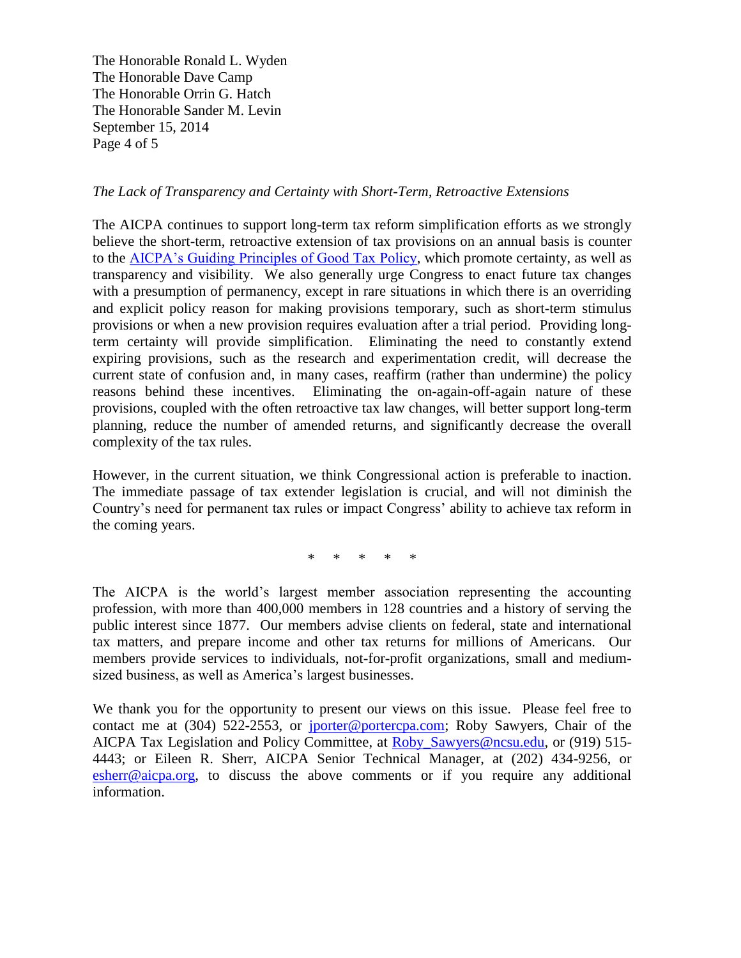The Honorable Ronald L. Wyden The Honorable Dave Camp The Honorable Orrin G. Hatch The Honorable Sander M. Levin September 15, 2014 Page 4 of 5

## *The Lack of Transparency and Certainty with Short-Term, Retroactive Extensions*

The AICPA continues to support long-term tax reform simplification efforts as we strongly believe the short-term, retroactive extension of tax provisions on an annual basis is counter to the [AICPA's Guiding Principles of Good Tax Policy,](http://www.aicpa.org/InterestAreas/Tax/Resources/TaxLegislationPolicy/Advocacy/DownloadableDocuments/Tax_Policy_Concept_Statement_No.1.doc) which promote certainty, as well as transparency and visibility. We also generally urge Congress to enact future tax changes with a presumption of permanency, except in rare situations in which there is an overriding and explicit policy reason for making provisions temporary, such as short-term stimulus provisions or when a new provision requires evaluation after a trial period. Providing longterm certainty will provide simplification. Eliminating the need to constantly extend expiring provisions, such as the research and experimentation credit, will decrease the current state of confusion and, in many cases, reaffirm (rather than undermine) the policy reasons behind these incentives. Eliminating the on-again-off-again nature of these provisions, coupled with the often retroactive tax law changes, will better support long-term planning, reduce the number of amended returns, and significantly decrease the overall complexity of the tax rules.

However, in the current situation, we think Congressional action is preferable to inaction. The immediate passage of tax extender legislation is crucial, and will not diminish the Country's need for permanent tax rules or impact Congress' ability to achieve tax reform in the coming years.

\* \* \* \* \*

The AICPA is the world's largest member association representing the accounting profession, with more than 400,000 members in 128 countries and a history of serving the public interest since 1877. Our members advise clients on federal, state and international tax matters, and prepare income and other tax returns for millions of Americans. Our members provide services to individuals, not-for-profit organizations, small and mediumsized business, as well as America's largest businesses.

We thank you for the opportunity to present our views on this issue. Please feel free to contact me at (304) 522-2553, or [jporter@portercpa.com;](mailto:jporter@portercpa.com) Roby Sawyers, Chair of the AICPA Tax Legislation and Policy Committee, at [Roby\\_Sawyers@ncsu.edu,](mailto:Roby_Sawyers@ncsu.edu) or (919) 515- 4443; or Eileen R. Sherr, AICPA Senior Technical Manager, at (202) 434-9256, or [esherr@aicpa.org,](mailto:esherr@aicpa.org) to discuss the above comments or if you require any additional information.